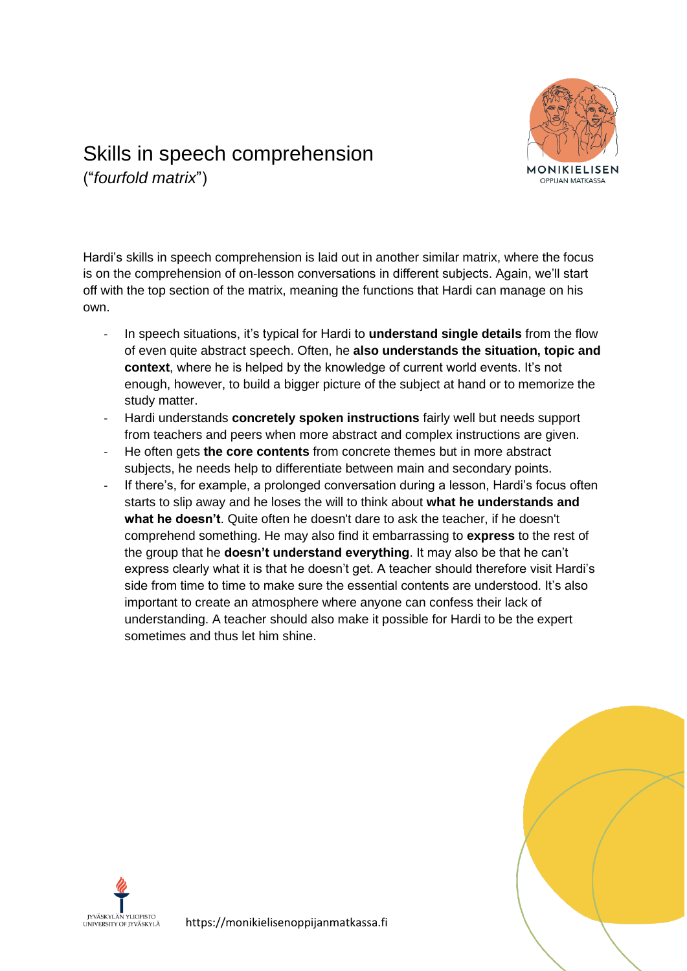

## Skills in speech comprehension ("*fourfold matrix*")

Hardi's skills in speech comprehension is laid out in another similar matrix, where the focus is on the comprehension of on-lesson conversations in different subjects. Again, we'll start off with the top section of the matrix, meaning the functions that Hardi can manage on his own.

- In speech situations, it's typical for Hardi to **understand single details** from the flow of even quite abstract speech. Often, he **also understands the situation, topic and context**, where he is helped by the knowledge of current world events. It's not enough, however, to build a bigger picture of the subject at hand or to memorize the study matter.
- Hardi understands **concretely spoken instructions** fairly well but needs support from teachers and peers when more abstract and complex instructions are given.
- He often gets **the core contents** from concrete themes but in more abstract subjects, he needs help to differentiate between main and secondary points.
- If there's, for example, a prolonged conversation during a lesson, Hardi's focus often starts to slip away and he loses the will to think about **what he understands and what he doesn't**. Quite often he doesn't dare to ask the teacher, if he doesn't comprehend something. He may also find it embarrassing to **express** to the rest of the group that he **doesn't understand everything**. It may also be that he can't express clearly what it is that he doesn't get. A teacher should therefore visit Hardi's side from time to time to make sure the essential contents are understood. It's also important to create an atmosphere where anyone can confess their lack of understanding. A teacher should also make it possible for Hardi to be the expert sometimes and thus let him shine.